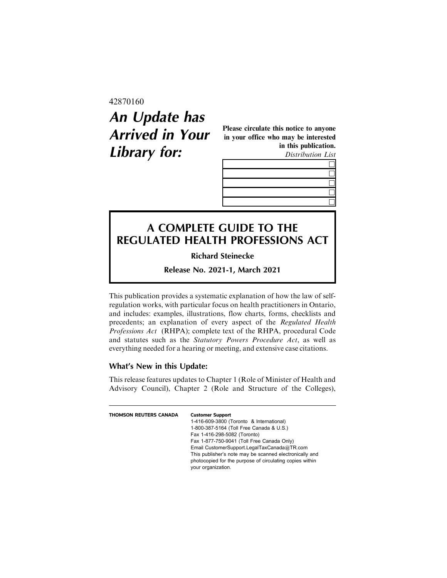### 42870160

# **An Update has Arrived in Your Library for:**

Please circulate this notice to anyone in your office who may be interested in this publication.

Distribution List

## **A COMPLETE GUIDE TO THE REGULATED HEALTH PROFESSIONS ACT**

**Richard Steinecke**

**Release No. 2021-1, March 2021**

This publication provides a systematic explanation of how the law of selfregulation works, with particular focus on health practitioners in Ontario, and includes: examples, illustrations, flow charts, forms, checklists and precedents; an explanation of every aspect of the Regulated Health Professions Act (RHPA); complete text of the RHPA, procedural Code and statutes such as the Statutory Powers Procedure Act, as well as everything needed for a hearing or meeting, and extensive case citations.

### **What's New in this Update:**

This release features updates to Chapter 1 (Role of Minister of Health and Advisory Council), Chapter 2 (Role and Structure of the Colleges),

| THOMSON REUTERS CANADA | <b>Customer Support</b>                                  |
|------------------------|----------------------------------------------------------|
|                        | 1-416-609-3800 (Toronto & International)                 |
|                        | 1-800-387-5164 (Toll Free Canada & U.S.)                 |
|                        | Fax 1-416-298-5082 (Toronto)                             |
|                        | Fax 1-877-750-9041 (Toll Free Canada Only)               |
|                        | Email CustomerSupport.LegalTaxCanada@TR.com              |
|                        | This publisher's note may be scanned electronically and  |
|                        | photocopied for the purpose of circulating copies within |
|                        | your organization.                                       |
|                        |                                                          |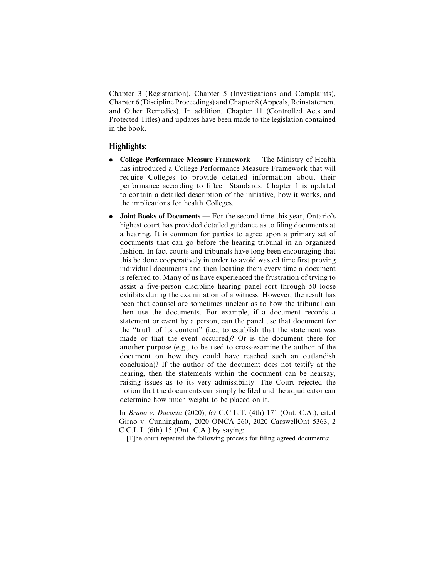Chapter 3 (Registration), Chapter 5 (Investigations and Complaints), Chapter 6 (Discipline Proceedings) and Chapter 8 (Appeals, Reinstatement and Other Remedies). In addition, Chapter 11 (Controlled Acts and Protected Titles) and updates have been made to the legislation contained in the book.

#### **Highlights:**

- . College Performance Measure Framework The Ministry of Health has introduced a College Performance Measure Framework that will require Colleges to provide detailed information about their performance according to fifteen Standards. Chapter 1 is updated to contain a detailed description of the initiative, how it works, and the implications for health Colleges.
- . Joint Books of Documents For the second time this year, Ontario's highest court has provided detailed guidance as to filing documents at a hearing. It is common for parties to agree upon a primary set of documents that can go before the hearing tribunal in an organized fashion. In fact courts and tribunals have long been encouraging that this be done cooperatively in order to avoid wasted time first proving individual documents and then locating them every time a document is referred to. Many of us have experienced the frustration of trying to assist a five-person discipline hearing panel sort through 50 loose exhibits during the examination of a witness. However, the result has been that counsel are sometimes unclear as to how the tribunal can then use the documents. For example, if a document records a statement or event by a person, can the panel use that document for the "truth of its content" (i.e., to establish that the statement was made or that the event occurred)? Or is the document there for another purpose (e.g., to be used to cross-examine the author of the document on how they could have reached such an outlandish conclusion)? If the author of the document does not testify at the hearing, then the statements within the document can be hearsay, raising issues as to its very admissibility. The Court rejected the notion that the documents can simply be filed and the adjudicator can determine how much weight to be placed on it.

In Bruno v. Dacosta (2020), 69 C.C.L.T. (4th) 171 (Ont. C.A.), cited Girao v. Cunningham, 2020 ONCA 260, 2020 CarswellOnt 5363, 2 C.C.L.I. (6th) 15 (Ont. C.A.) by saying:

[T]he court repeated the following process for filing agreed documents: